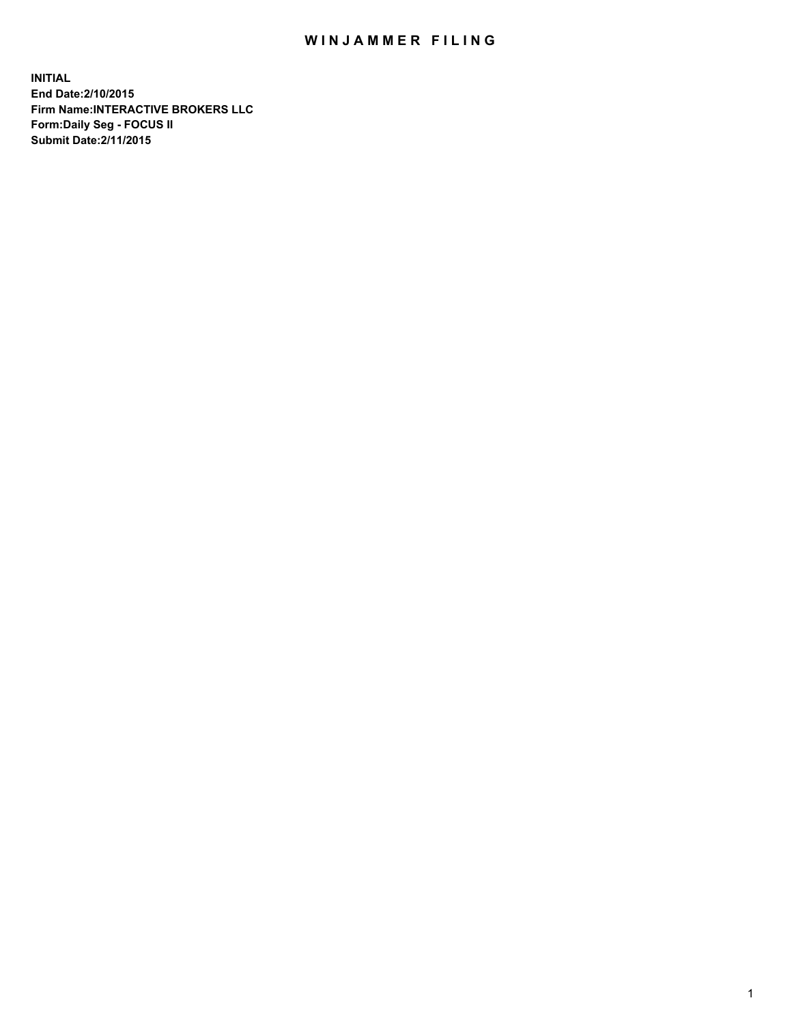## WIN JAMMER FILING

**INITIAL End Date:2/10/2015 Firm Name:INTERACTIVE BROKERS LLC Form:Daily Seg - FOCUS II Submit Date:2/11/2015**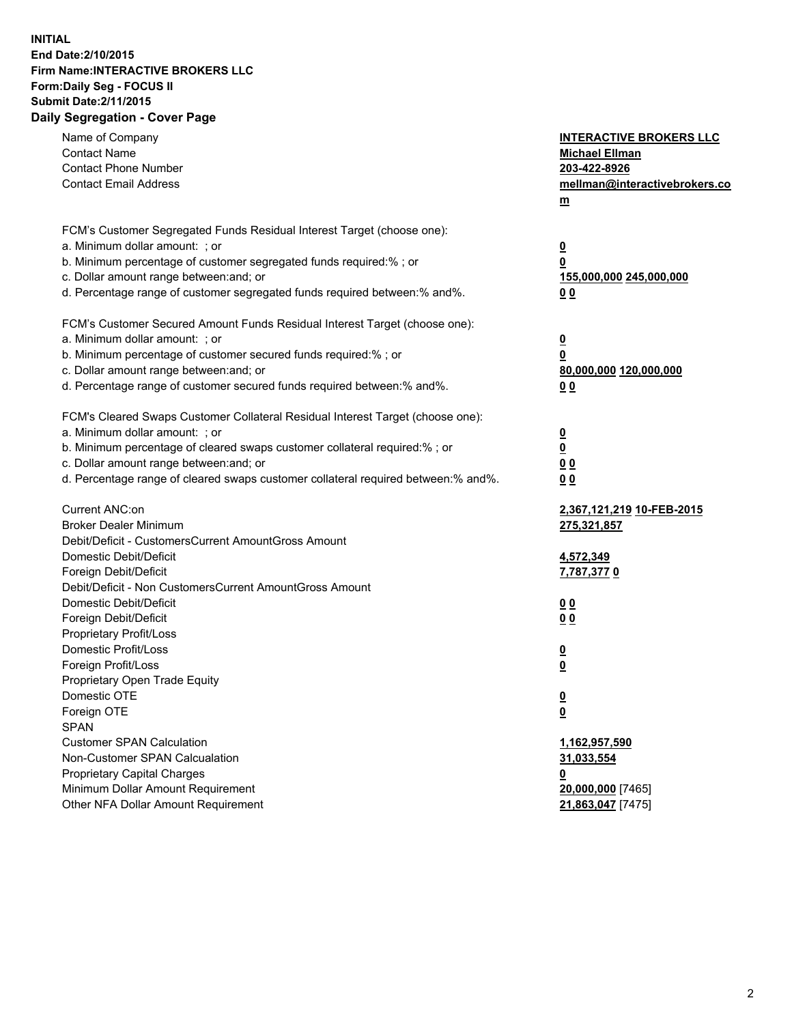## **INITIAL End Date:2/10/2015 Firm Name:INTERACTIVE BROKERS LLC Form:Daily Seg - FOCUS II Submit Date:2/11/2015 Daily Segregation - Cover Page**

| Name of Company<br><b>Contact Name</b><br><b>Contact Phone Number</b><br><b>Contact Email Address</b> | <b>INTERACTIVE BROKERS LLC</b><br><b>Michael Ellman</b><br>203-422-8926<br>mellman@interactivebrokers.co<br>$\underline{\mathbf{m}}$ |
|-------------------------------------------------------------------------------------------------------|--------------------------------------------------------------------------------------------------------------------------------------|
| FCM's Customer Segregated Funds Residual Interest Target (choose one):                                |                                                                                                                                      |
| a. Minimum dollar amount: ; or                                                                        | $\overline{\mathbf{0}}$                                                                                                              |
| b. Minimum percentage of customer segregated funds required:% ; or                                    | 0                                                                                                                                    |
| c. Dollar amount range between: and; or                                                               | 155,000,000 245,000,000                                                                                                              |
| d. Percentage range of customer segregated funds required between:% and%.                             | 00                                                                                                                                   |
| FCM's Customer Secured Amount Funds Residual Interest Target (choose one):                            |                                                                                                                                      |
| a. Minimum dollar amount: ; or                                                                        | $\overline{\mathbf{0}}$                                                                                                              |
| b. Minimum percentage of customer secured funds required:% ; or                                       | 0                                                                                                                                    |
| c. Dollar amount range between: and; or                                                               | 80,000,000 120,000,000                                                                                                               |
| d. Percentage range of customer secured funds required between:% and%.                                | 00                                                                                                                                   |
| FCM's Cleared Swaps Customer Collateral Residual Interest Target (choose one):                        |                                                                                                                                      |
| a. Minimum dollar amount: ; or                                                                        | $\overline{\mathbf{0}}$                                                                                                              |
| b. Minimum percentage of cleared swaps customer collateral required:% ; or                            | $\overline{\mathbf{0}}$                                                                                                              |
| c. Dollar amount range between: and; or                                                               | 0 <sub>0</sub>                                                                                                                       |
| d. Percentage range of cleared swaps customer collateral required between:% and%.                     | 0 <sub>0</sub>                                                                                                                       |
|                                                                                                       |                                                                                                                                      |
| Current ANC:on                                                                                        | 2,367,121,219 10-FEB-2015                                                                                                            |
| <b>Broker Dealer Minimum</b>                                                                          | 275,321,857                                                                                                                          |
| Debit/Deficit - CustomersCurrent AmountGross Amount                                                   |                                                                                                                                      |
| Domestic Debit/Deficit                                                                                | 4,572,349                                                                                                                            |
| Foreign Debit/Deficit                                                                                 | 7,787,3770                                                                                                                           |
| Debit/Deficit - Non CustomersCurrent AmountGross Amount                                               |                                                                                                                                      |
| Domestic Debit/Deficit                                                                                | 0 <sub>0</sub>                                                                                                                       |
| Foreign Debit/Deficit                                                                                 | 0 <sub>0</sub>                                                                                                                       |
| Proprietary Profit/Loss                                                                               |                                                                                                                                      |
| Domestic Profit/Loss                                                                                  | $\overline{\mathbf{0}}$                                                                                                              |
| Foreign Profit/Loss                                                                                   | $\underline{\mathbf{0}}$                                                                                                             |
| Proprietary Open Trade Equity                                                                         |                                                                                                                                      |
| Domestic OTE                                                                                          | <u>0</u>                                                                                                                             |
| Foreign OTE                                                                                           | <u>0</u>                                                                                                                             |
| <b>SPAN</b>                                                                                           |                                                                                                                                      |
| <b>Customer SPAN Calculation</b><br>Non-Customer SPAN Calcualation                                    | 1,162,957,590                                                                                                                        |
|                                                                                                       | 31,033,554                                                                                                                           |
| Proprietary Capital Charges<br>Minimum Dollar Amount Requirement                                      | <u>0</u><br>20,000,000 [7465]                                                                                                        |
| Other NFA Dollar Amount Requirement                                                                   | 21,863,047 [7475]                                                                                                                    |
|                                                                                                       |                                                                                                                                      |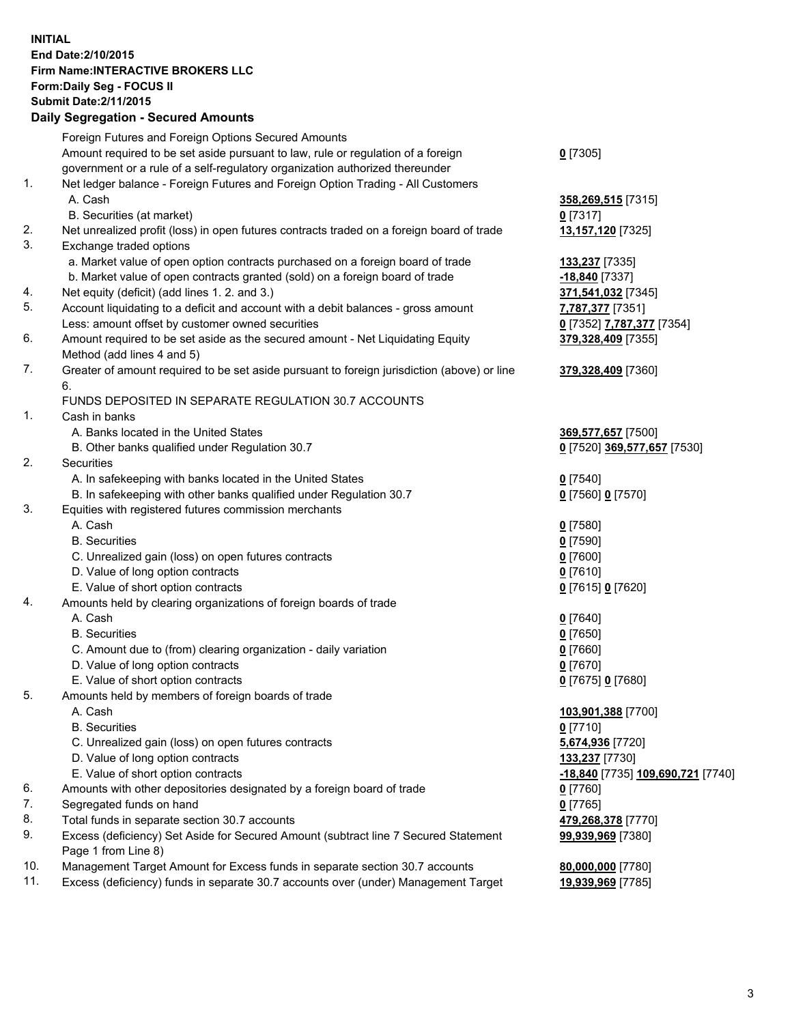## **INITIAL End Date:2/10/2015 Firm Name:INTERACTIVE BROKERS LLC Form:Daily Seg - FOCUS II Submit Date:2/11/2015 Daily Segregation - Secured Amounts**

|     | Daily Jegiegation - Jeculed Aniounts                                                                       |                                   |
|-----|------------------------------------------------------------------------------------------------------------|-----------------------------------|
|     | Foreign Futures and Foreign Options Secured Amounts                                                        |                                   |
|     | Amount required to be set aside pursuant to law, rule or regulation of a foreign                           | $0$ [7305]                        |
|     | government or a rule of a self-regulatory organization authorized thereunder                               |                                   |
| 1.  | Net ledger balance - Foreign Futures and Foreign Option Trading - All Customers                            |                                   |
|     | A. Cash                                                                                                    | 358,269,515 [7315]                |
|     | B. Securities (at market)                                                                                  | $0$ [7317]                        |
| 2.  | Net unrealized profit (loss) in open futures contracts traded on a foreign board of trade                  | 13,157,120 [7325]                 |
| 3.  | Exchange traded options                                                                                    |                                   |
|     | a. Market value of open option contracts purchased on a foreign board of trade                             | <b>133,237</b> [7335]             |
|     | b. Market value of open contracts granted (sold) on a foreign board of trade                               | -18,840 [7337]                    |
| 4.  | Net equity (deficit) (add lines 1.2. and 3.)                                                               | 371,541,032 [7345]                |
| 5.  | Account liquidating to a deficit and account with a debit balances - gross amount                          | 7,787,377 [7351]                  |
|     | Less: amount offset by customer owned securities                                                           | 0 [7352] 7,787,377 [7354]         |
| 6.  | Amount required to be set aside as the secured amount - Net Liquidating Equity                             | 379,328,409 [7355]                |
|     | Method (add lines 4 and 5)                                                                                 |                                   |
| 7.  | Greater of amount required to be set aside pursuant to foreign jurisdiction (above) or line                | 379,328,409 [7360]                |
|     | 6.                                                                                                         |                                   |
|     | FUNDS DEPOSITED IN SEPARATE REGULATION 30.7 ACCOUNTS                                                       |                                   |
| 1.  | Cash in banks                                                                                              |                                   |
|     | A. Banks located in the United States                                                                      | 369,577,657 [7500]                |
|     | B. Other banks qualified under Regulation 30.7                                                             | 0 [7520] 369,577,657 [7530]       |
| 2.  | Securities                                                                                                 |                                   |
|     | A. In safekeeping with banks located in the United States                                                  | $Q$ [7540]                        |
|     | B. In safekeeping with other banks qualified under Regulation 30.7                                         | 0 [7560] 0 [7570]                 |
| 3.  | Equities with registered futures commission merchants                                                      |                                   |
|     | A. Cash                                                                                                    | $0$ [7580]                        |
|     | <b>B.</b> Securities                                                                                       | $0$ [7590]                        |
|     | C. Unrealized gain (loss) on open futures contracts                                                        | $0$ [7600]                        |
|     | D. Value of long option contracts                                                                          | $0$ [7610]                        |
|     | E. Value of short option contracts                                                                         | 0 [7615] 0 [7620]                 |
| 4.  | Amounts held by clearing organizations of foreign boards of trade                                          |                                   |
|     | A. Cash                                                                                                    | $0$ [7640]                        |
|     | <b>B.</b> Securities                                                                                       | $0$ [7650]                        |
|     | C. Amount due to (from) clearing organization - daily variation                                            | $0$ [7660]                        |
|     | D. Value of long option contracts                                                                          | $0$ [7670]                        |
|     | E. Value of short option contracts                                                                         | 0 [7675] 0 [7680]                 |
| 5.  | Amounts held by members of foreign boards of trade                                                         |                                   |
|     | A. Cash                                                                                                    | 103,901,388 [7700]                |
|     | <b>B.</b> Securities                                                                                       | $0$ [7710]                        |
|     | C. Unrealized gain (loss) on open futures contracts                                                        | 5,674,936 [7720]                  |
|     | D. Value of long option contracts                                                                          | 133,237 [7730]                    |
|     | E. Value of short option contracts                                                                         | -18,840 [7735] 109,690,721 [7740] |
| 6.  | Amounts with other depositories designated by a foreign board of trade                                     | $0$ [7760]                        |
| 7.  | Segregated funds on hand                                                                                   | $0$ [7765]                        |
| 8.  | Total funds in separate section 30.7 accounts                                                              | 479,268,378 [7770]                |
| 9.  | Excess (deficiency) Set Aside for Secured Amount (subtract line 7 Secured Statement<br>Page 1 from Line 8) | 99,939,969 [7380]                 |
| 10. | Management Target Amount for Excess funds in separate section 30.7 accounts                                | 80,000,000 [7780]                 |
| 11. | Excess (deficiency) funds in separate 30.7 accounts over (under) Management Target                         | 19,939,969 [7785]                 |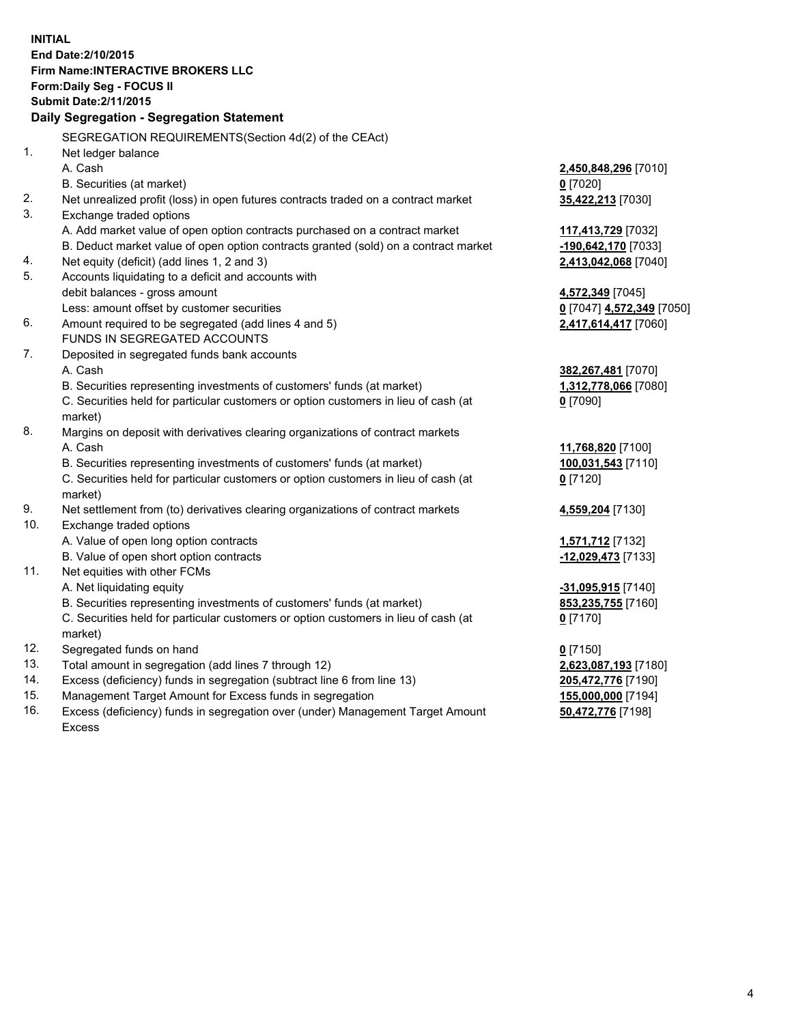**INITIAL End Date:2/10/2015 Firm Name:INTERACTIVE BROKERS LLC Form:Daily Seg - FOCUS II Submit Date:2/11/2015 Daily Segregation - Segregation Statement** SEGREGATION REQUIREMENTS(Section 4d(2) of the CEAct) 1. Net ledger balance A. Cash **2,450,848,296** [7010] B. Securities (at market) **0** [7020] 2. Net unrealized profit (loss) in open futures contracts traded on a contract market **35,422,213** [7030] 3. Exchange traded options A. Add market value of open option contracts purchased on a contract market **117,413,729** [7032] B. Deduct market value of open option contracts granted (sold) on a contract market **-190,642,170** [7033] 4. Net equity (deficit) (add lines 1, 2 and 3) **2,413,042,068** [7040] 5. Accounts liquidating to a deficit and accounts with debit balances - gross amount **4,572,349** [7045] Less: amount offset by customer securities **0** [7047] **4,572,349** [7050] 6. Amount required to be segregated (add lines 4 and 5) **2,417,614,417** [7060] FUNDS IN SEGREGATED ACCOUNTS 7. Deposited in segregated funds bank accounts A. Cash **382,267,481** [7070] B. Securities representing investments of customers' funds (at market) **1,312,778,066** [7080] C. Securities held for particular customers or option customers in lieu of cash (at market) **0** [7090] 8. Margins on deposit with derivatives clearing organizations of contract markets A. Cash **11,768,820** [7100] B. Securities representing investments of customers' funds (at market) **100,031,543** [7110] C. Securities held for particular customers or option customers in lieu of cash (at market) **0** [7120] 9. Net settlement from (to) derivatives clearing organizations of contract markets **4,559,204** [7130] 10. Exchange traded options A. Value of open long option contracts **1,571,712** [7132] B. Value of open short option contracts **-12,029,473** [7133] 11. Net equities with other FCMs A. Net liquidating equity **-31,095,915** [7140] B. Securities representing investments of customers' funds (at market) **853,235,755** [7160] C. Securities held for particular customers or option customers in lieu of cash (at market) **0** [7170] 12. Segregated funds on hand **0** [7150] 13. Total amount in segregation (add lines 7 through 12) **2,623,087,193** [7180] 14. Excess (deficiency) funds in segregation (subtract line 6 from line 13) **205,472,776** [7190] 15. Management Target Amount for Excess funds in segregation **155,000,000** [7194]

16. Excess (deficiency) funds in segregation over (under) Management Target Amount Excess

**50,472,776** [7198]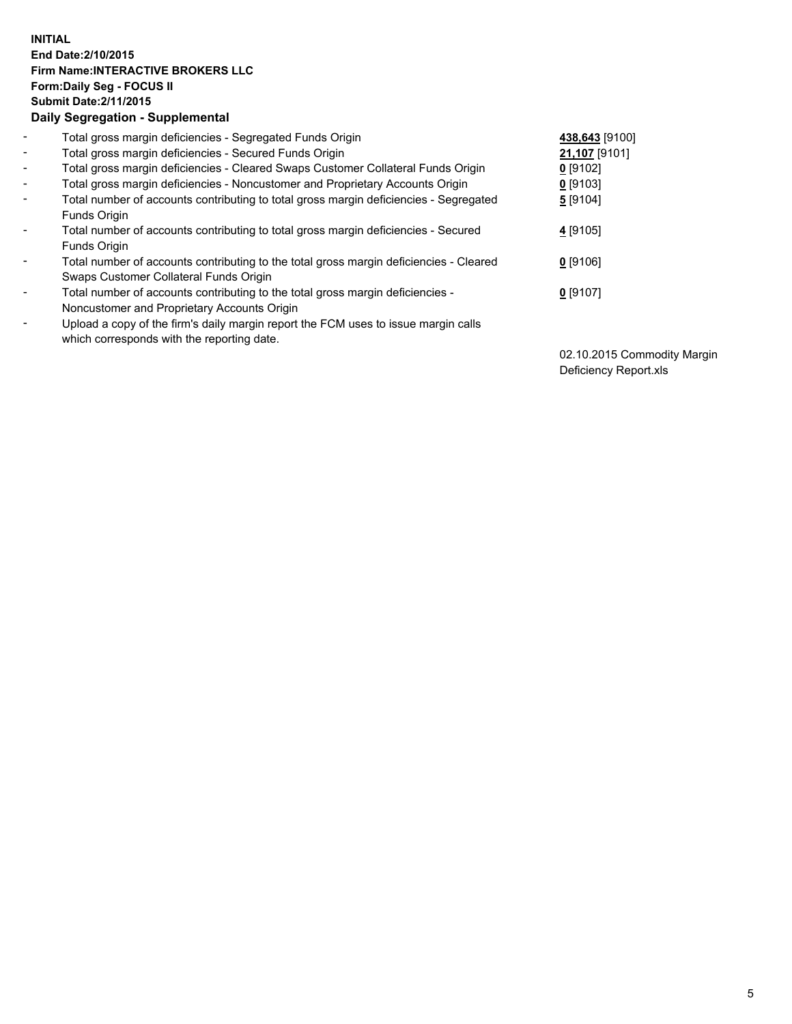## **INITIAL End Date:2/10/2015 Firm Name:INTERACTIVE BROKERS LLC Form:Daily Seg - FOCUS II Submit Date:2/11/2015 Daily Segregation - Supplemental**

| $\blacksquare$           | Total gross margin deficiencies - Segregated Funds Origin                              | 438,643 [9100] |
|--------------------------|----------------------------------------------------------------------------------------|----------------|
| $\sim$                   | Total gross margin deficiencies - Secured Funds Origin                                 | 21,107 [9101]  |
| $\blacksquare$           | Total gross margin deficiencies - Cleared Swaps Customer Collateral Funds Origin       | $0$ [9102]     |
| $\blacksquare$           | Total gross margin deficiencies - Noncustomer and Proprietary Accounts Origin          | $0$ [9103]     |
| $\blacksquare$           | Total number of accounts contributing to total gross margin deficiencies - Segregated  | 5 [9104]       |
|                          | Funds Origin                                                                           |                |
| $\blacksquare$           | Total number of accounts contributing to total gross margin deficiencies - Secured     | 4 [9105]       |
|                          | <b>Funds Origin</b>                                                                    |                |
| $\blacksquare$           | Total number of accounts contributing to the total gross margin deficiencies - Cleared | $0$ [9106]     |
|                          | Swaps Customer Collateral Funds Origin                                                 |                |
| $\overline{\phantom{a}}$ | Total number of accounts contributing to the total gross margin deficiencies -         | $0$ [9107]     |
|                          | Noncustomer and Proprietary Accounts Origin                                            |                |
| $\overline{\phantom{a}}$ | Upload a copy of the firm's daily margin report the FCM uses to issue margin calls     |                |
|                          | which corresponds with the reporting date.                                             |                |

02.10.2015 Commodity Margin Deficiency Report.xls